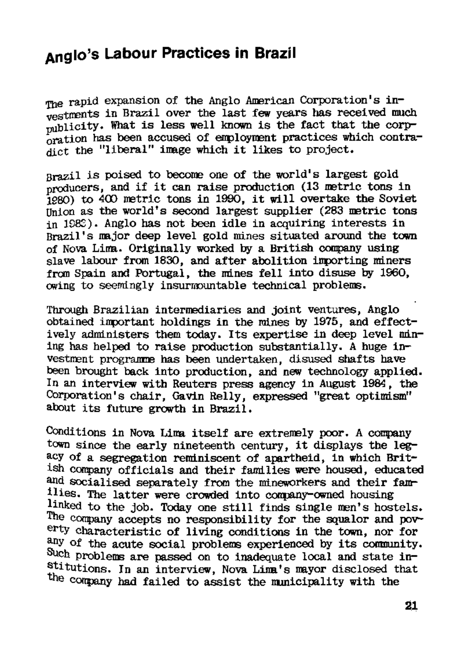## **Anglo's Labour Practices in Brazil**

The rapid expansion of the Anglo American Corporation's investments in Brazil over the last few years has received much publicity. What is less well kncwn is the fact that the corporation has been accused of employment practices which contradict the "liberal" image which it likes to project.

Brazil is poised to become one of the world's largest gold producers, and if it can raise production (13 metric tons in 1980) to 400 metric tons in 1990, it will overtake the Soviet Union as the world's second largest supplier (283 metric tons in 1983). Anglo has not been idle in acquiring interests in Brazil's major deep level gold mines situated around the town of Nova Lima. Originally worked by a British company using slave labour from 1830, and after abolition importing miners frcm Spain and Portugal, the mines fell into disuse by 1960, owing to seemingly insurmountable technical problems.

Conditions in Nova Lima itself are extremely poor. A company town since the early nineteenth century, it displays the legacy of a segregation reminiscent of apartheid, in which British company officials and their families were housed, educated and socialised separately from the mineworkers and their families. The latter were crowded into company-cwned housing linked to the job. Today one still finds single men's hostels. The company accepts no responsibility for the squalor and poverty characteristic of living conditions in the town, nor for any of the acute social problems experienced by its community. Such problems are passed on to inadequate local and state in- $\frac{1}{\sqrt{2}}$  tutions. In an interview, Nova Lima's mayor disclosed that the company had failed to assist the municipality with the

Through Brazilian intermediaries and joint ventures, Anglo obtained important holdings in the mines by 1975, and effectively administers them today. Its expertise in deep level mining has helped to raise production substantially. A huge investment programme has been undertaken, disused shafts have been brought back into production, and new technology applied. In an interview with Reuters press agency in August 1984, the Corporation's chair, Gavin Relly, expressed "great optimism" about its future growth in Brazil.

21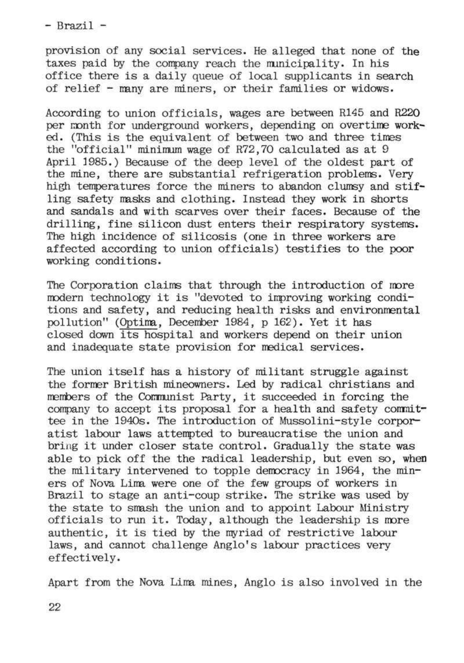- Brazil -

provision of any social services. He alleged that none of the taxes paid by the conpany reach the municipality. In his office there is a daily queue of local supplicants in search of relief - many are miners, or their families or widows.

According to union officials, wages are between R145 and R220 per month for underground workers, depending on overtime worked. (This is the equivalent of between two and three tines the "official" minimum wage of R72,70 calculated as at 9 April 1985.) Because of the deep level of the oldest part of the mine, there are substantial refrigeration problems. Very high temperatures force the miners to abandon clumsy and stifling safety masks and clothing. Instead they work in shorts and sandals and with scarves over their faces. Because of the drilling, fine silicon dust enters their respiratory systems. The high incidence of silicosis (one in three workers are affected according to union officials) testifies to the poor working conditions.

The Corporation claims that through the introduction of more modern technology it is "devoted to improving working conditions and safety, and reducing health risks and environmental pollution" (Optima, December 1984, p 162). Yet it has closed down its hospital and workers depend on their union and inadequate state provision for medical services.

The union itself has a history of militant struggle against the former British mineowners. Led by radical christians and members of the Communist Party, it succeeded in forcing the company to accept its proposal for a health and safety committee in the 1940s. The introduction of Mussolini-style corporatist labour laws attempted to bureaucratise the union and bring it under closer state control. Gradually the state was able to pick off the the radical leadership, but even so, when the military intervened to topple democracy in 1964, the miners of Nova Lima were one of the few groups of workers in Brazil to stage an anti-coup strike. The strike was used by the state to smash the union and to appoint Labour Ministry officials to run it. Today, although the leadership is more authentic, it is tied by the myriad of restrictive labour laws, and cannot challenge Anglo's labour practices very effectively.

## Apart from the Nova Lima mines, Anglo is also involved in the